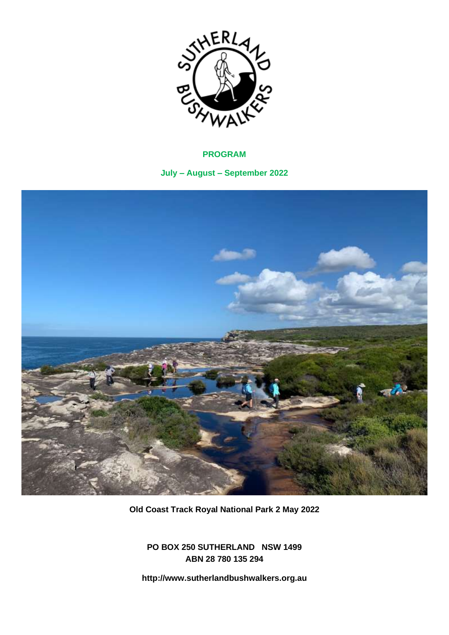

# **PROGRAM**

**July – August – September 2022**



**Old Coast Track Royal National Park 2 May 2022**

**PO BOX 250 SUTHERLAND NSW 1499 ABN 28 780 135 294** 

**http://www.sutherlandbushwalkers.org.au**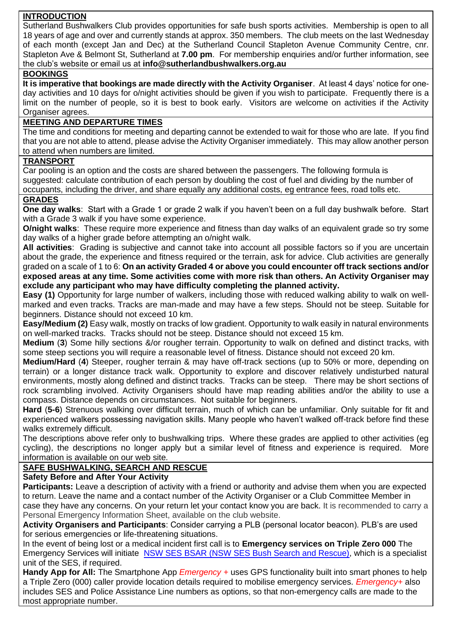# **INTRODUCTION**

Sutherland Bushwalkers Club provides opportunities for safe bush sports activities. Membership is open to all 18 years of age and over and currently stands at approx. 350 members. The club meets on the last Wednesday of each month (except Jan and Dec) at the Sutherland Council Stapleton Avenue Community Centre, cnr. Stapleton Ave & Belmont St, Sutherland at **7.00 pm**. For membership enquiries and/or further information, see the club's website or email us at **[info@sutherlandbushwalkers.org.au](mailto:secretary@sutherlandbushwalkers.org.au)**

# **BOOKINGS**

**It is imperative that bookings are made directly with the Activity Organiser**. At least 4 days' notice for oneday activities and 10 days for o/night activities should be given if you wish to participate. Frequently there is a limit on the number of people, so it is best to book early. Visitors are welcome on activities if the Activity Organiser agrees.

# **MEETING AND DEPARTURE TIMES**

The time and conditions for meeting and departing cannot be extended to wait for those who are late. If you find that you are not able to attend, please advise the Activity Organiser immediately. This may allow another person to attend when numbers are limited.

## **TRANSPORT**

Car pooling is an option and the costs are shared between the passengers. The following formula is suggested: calculate contribution of each person by doubling the cost of fuel and dividing by the number of occupants, including the driver, and share equally any additional costs, eg entrance fees, road tolls etc. **GRADES**

**One day walks**: Start with a Grade 1 or grade 2 walk if you haven't been on a full day bushwalk before. Start with a Grade 3 walk if you have some experience.

**O/night walks:** These require more experience and fitness than day walks of an equivalent grade so try some day walks of a higher grade before attempting an o/night walk.

**All activities**: Grading is subjective and cannot take into account all possible factors so if you are uncertain about the grade, the experience and fitness required or the terrain, ask for advice. Club activities are generally graded on a scale of 1 to 6: **On an activity Graded 4 or above you could encounter off track sections and/or exposed areas at any time. Some activities come with more risk than others. An Activity Organiser may exclude any participant who may have difficulty completing the planned activity.**

**Easy (1)** Opportunity for large number of walkers, including those with reduced walking ability to walk on wellmarked and even tracks. Tracks are man-made and may have a few steps. Should not be steep. Suitable for beginners. Distance should not exceed 10 km.

**Easy/Medium (2)** Easy walk, mostly on tracks of low gradient. Opportunity to walk easily in natural environments on well-marked tracks. Tracks should not be steep. Distance should not exceed 15 km.

**Medium** (**3**) Some hilly sections &/or rougher terrain. Opportunity to walk on defined and distinct tracks, with some steep sections you will require a reasonable level of fitness. Distance should not exceed 20 km.

**Medium/Hard** (**4**) Steeper, rougher terrain & may have off-track sections (up to 50% or more, depending on terrain) or a longer distance track walk. Opportunity to explore and discover relatively undisturbed natural environments, mostly along defined and distinct tracks. Tracks can be steep. There may be short sections of rock scrambling involved. Activity Organisers should have map reading abilities and/or the ability to use a compass. Distance depends on circumstances. Not suitable for beginners.

**Hard** (**5-6**) Strenuous walking over difficult terrain, much of which can be unfamiliar. Only suitable for fit and experienced walkers possessing navigation skills. Many people who haven't walked off-track before find these walks extremely difficult.

The descriptions above refer only to bushwalking trips. Where these grades are applied to other activities (eg cycling), the descriptions no longer apply but a similar level of fitness and experience is required. More information is available on our web site.

# **SAFE BUSHWALKING, SEARCH AND RESCUE**

# **Safety Before and After Your Activity**

**Participants:** Leave a description of activity with a friend or authority and advise them when you are expected to return. Leave the name and a contact number of the Activity Organiser or a Club Committee Member in case they have any concerns. On your return let your contact know you are back. It is recommended to carry a Personal Emergency Information Sheet, available on the club website.

**Activity Organisers and Participants**: Consider carrying a PLB (personal locator beacon). PLB's are used for serious emergencies or life-threatening situations.

In the event of being lost or a medical incident first call is to **Emergency services on Triple Zero 000** The Emergency Services will initiate [NSW SES BSAR \(NSW SES Bush Search and Rescue\),](http://www.bsar.org.au/) which is a specialist unit of the SES, if required.

**Handy App for All:** The Smartphone App *Emergency +* uses GPS functionality built into smart phones to help a Triple Zero (000) caller provide location details required to mobilise emergency services. *Emergency+* also includes SES and Police Assistance Line numbers as options, so that non-emergency calls are made to the most appropriate number.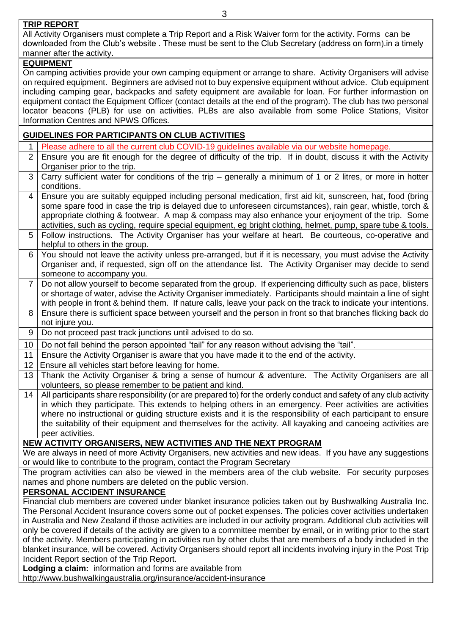## **TRIP REPORT**

All Activity Organisers must complete a Trip Report and a Risk Waiver form for the activity. Forms can be downloaded from the Club's website . These must be sent to the Club Secretary (address on form).in a timely manner after the activity.

# **EQUIPMENT**

On camping activities provide your own camping equipment or arrange to share. Activity Organisers will advise on required equipment. Beginners are advised not to buy expensive equipment without advice. Club equipment including camping gear, backpacks and safety equipment are available for loan. For further informastion on equipment contact the Equipment Officer (contact details at the end of the program). The club has two personal locator beacons (PLB) for use on activities. PLBs are also available from some Police Stations, Visitor Information Centres and NPWS Offices.

# **GUIDELINES FOR PARTICIPANTS ON CLUB ACTIVITIES**

- 1 Please adhere to all the current club COVID-19 guidelines available via our website homepage.
- 2 Ensure you are fit enough for the degree of difficulty of the trip. If in doubt, discuss it with the Activity Organiser prior to the trip.
- 3 Carry sufficient water for conditions of the trip generally a minimum of 1 or 2 litres, or more in hotter conditions.
- 4 Ensure you are suitably equipped including personal medication, first aid kit, sunscreen, hat, food (bring some spare food in case the trip is delayed due to unforeseen circumstances), rain gear, whistle, torch & appropriate clothing & footwear. A map & compass may also enhance your enjoyment of the trip. Some activities, such as cycling, require special equipment, eg bright clothing, helmet, pump, spare tube & tools.
- 5 Follow instructions. The Activity Organiser has your welfare at heart. Be courteous, co-operative and helpful to others in the group.
- 6 You should not leave the activity unless pre-arranged, but if it is necessary, you must advise the Activity Organiser and, if requested, sign off on the attendance list. The Activity Organiser may decide to send someone to accompany you.
- 7 Do not allow yourself to become separated from the group. If experiencing difficulty such as pace, blisters or shortage of water, advise the Activity Organiser immediately. Participants should maintain a line of sight with people in front & behind them. If nature calls, leave your pack on the track to indicate your intentions.
- 8 Ensure there is sufficient space between yourself and the person in front so that branches flicking back do not injure you.
- 9 Do not proceed past track junctions until advised to do so.
- 10  $\vert$  Do not fall behind the person appointed "tail" for any reason without advising the "tail".
- 11 Ensure the Activity Organiser is aware that you have made it to the end of the activity.
- 12 | Ensure all vehicles start before leaving for home.
- 13 Thank the Activity Organiser & bring a sense of humour & adventure. The Activity Organisers are all volunteers, so please remember to be patient and kind.
- 14 All participants share responsibility (or are prepared to) for the orderly conduct and safety of any club activity in which they participate. This extends to helping others in an emergency. Peer activities are activities where no instructional or guiding structure exists and it is the responsibility of each participant to ensure the suitability of their equipment and themselves for the activity. All kayaking and canoeing activities are peer activities.

# **NEW ACTIVITY ORGANISERS, NEW ACTIVITIES AND THE NEXT PROGRAM**

We are always in need of more Activity Organisers, new activities and new ideas. If you have any suggestions or would like to contribute to the program, contact the Program Secretary

The program activities can also be viewed in the members area of the club website. For security purposes names and phone numbers are deleted on the public version.

# **PERSONAL ACCIDENT INSURANCE**

Financial club members are covered under blanket insurance policies taken out by Bushwalking Australia Inc. The Personal Accident Insurance covers some out of pocket expenses. The policies cover activities undertaken in Australia and New Zealand if those activities are included in our activity program. Additional club activities will only be covered if details of the activity are given to a committee member by email, or in writing prior to the start of the activity. Members participating in activities run by other clubs that are members of a body included in the blanket insurance, will be covered. Activity Organisers should report all incidents involving injury in the Post Trip Incident Report section of the Trip Report.

**Lodging a claim:** information and forms are available from

http://www.bushwalkingaustralia.org/insurance/accident-insurance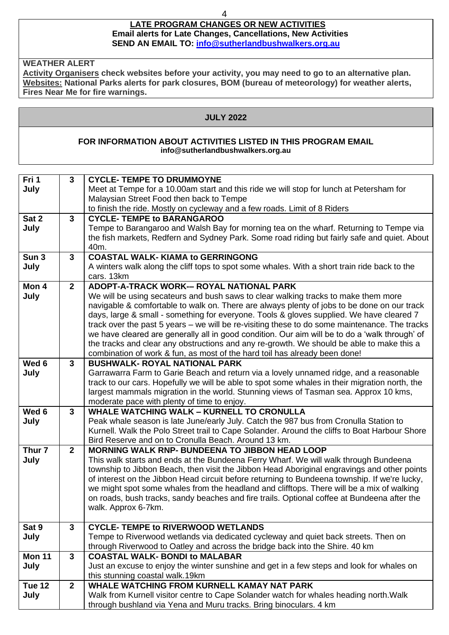## 4

#### **LATE PROGRAM CHANGES OR NEW ACTIVITIES Email alerts for Late Changes, Cancellations, New Activities SEND AN EMAIL TO: [info@sutherlandbushwalkers.org.au](mailto:info@sutherlandbushwalkers.org.au)**

**WEATHER ALERT**

**Activity Organisers check websites before your activity, you may need to go to an alternative plan. Websites: National Parks alerts for park closures, BOM (bureau of meteorology) for weather alerts, Fires Near Me for fire warnings.**

#### **JULY 2022**

#### **FOR INFORMATION ABOUT ACTIVITIES LISTED IN THIS PROGRAM EMAIL info@sutherlandbushwalkers.org.au**

| Fri 1             | $\mathbf{3}$   | <b>CYCLE- TEMPE TO DRUMMOYNE</b>                                                               |
|-------------------|----------------|------------------------------------------------------------------------------------------------|
| July              |                | Meet at Tempe for a 10.00am start and this ride we will stop for lunch at Petersham for        |
|                   |                | Malaysian Street Food then back to Tempe                                                       |
|                   |                | to finish the ride. Mostly on cycleway and a few roads. Limit of 8 Riders                      |
| Sat 2             | $\mathbf{3}$   | <b>CYCLE- TEMPE to BARANGAROO</b>                                                              |
| July              |                | Tempe to Barangaroo and Walsh Bay for morning tea on the wharf. Returning to Tempe via         |
|                   |                | the fish markets, Redfern and Sydney Park. Some road riding but fairly safe and quiet. About   |
|                   |                | 40m.                                                                                           |
| Sun <sub>3</sub>  | $\mathbf{3}$   | <b>COASTAL WALK-KIAMA to GERRINGONG</b>                                                        |
| July              |                | A winters walk along the cliff tops to spot some whales. With a short train ride back to the   |
|                   |                | cars. 13km                                                                                     |
| Mon 4             | $\mathbf{2}$   | ADOPT-A-TRACK WORK-- ROYAL NATIONAL PARK                                                       |
| July              |                | We will be using secateurs and bush saws to clear walking tracks to make them more             |
|                   |                | navigable & comfortable to walk on. There are always plenty of jobs to be done on our track    |
|                   |                | days, large & small - something for everyone. Tools & gloves supplied. We have cleared 7       |
|                   |                | track over the past 5 years - we will be re-visiting these to do some maintenance. The tracks  |
|                   |                | we have cleared are generally all in good condition. Our aim will be to do a 'walk through' of |
|                   |                | the tracks and clear any obstructions and any re-growth. We should be able to make this a      |
|                   |                | combination of work & fun, as most of the hard toil has already been done!                     |
| Wed 6             | $3\phantom{a}$ | <b>BUSHWALK- ROYAL NATIONAL PARK</b>                                                           |
| July              |                | Garrawarra Farm to Garie Beach and return via a lovely unnamed ridge, and a reasonable         |
|                   |                | track to our cars. Hopefully we will be able to spot some whales in their migration north, the |
|                   |                | largest mammals migration in the world. Stunning views of Tasman sea. Approx 10 kms,           |
|                   |                | moderate pace with plenty of time to enjoy.                                                    |
| Wed 6             | $\mathbf{3}$   | <b>WHALE WATCHING WALK - KURNELL TO CRONULLA</b>                                               |
| July              |                | Peak whale season is late June/early July. Catch the 987 bus from Cronulla Station to          |
|                   |                | Kurnell. Walk the Polo Street trail to Cape Solander. Around the cliffs to Boat Harbour Shore  |
|                   |                | Bird Reserve and on to Cronulla Beach. Around 13 km.                                           |
| Thur <sub>7</sub> | $\mathbf{2}$   | <b>MORNING WALK RNP- BUNDEENA TO JIBBON HEAD LOOP</b>                                          |
| July              |                | This walk starts and ends at the Bundeena Ferry Wharf. We will walk through Bundeena           |
|                   |                | township to Jibbon Beach, then visit the Jibbon Head Aboriginal engravings and other points    |
|                   |                | of interest on the Jibbon Head circuit before returning to Bundeena township. If we're lucky,  |
|                   |                | we might spot some whales from the headland and clifftops. There will be a mix of walking      |
|                   |                | on roads, bush tracks, sandy beaches and fire trails. Optional coffee at Bundeena after the    |
|                   |                | walk. Approx 6-7km.                                                                            |
| Sat 9             | $\mathbf{3}$   | <b>CYCLE- TEMPE to RIVERWOOD WETLANDS</b>                                                      |
| July              |                | Tempe to Riverwood wetlands via dedicated cycleway and quiet back streets. Then on             |
|                   |                | through Riverwood to Oatley and across the bridge back into the Shire. 40 km                   |
| <b>Mon 11</b>     | $\mathbf{3}$   | <b>COASTAL WALK- BONDI to MALABAR</b>                                                          |
| July              |                | Just an excuse to enjoy the winter sunshine and get in a few steps and look for whales on      |
|                   |                | this stunning coastal walk.19km                                                                |
| Tue 12            | $\mathbf{2}$   | <b>WHALE WATCHING FROM KURNELL KAMAY NAT PARK</b>                                              |
| July              |                | Walk from Kurnell visitor centre to Cape Solander watch for whales heading north. Walk         |
|                   |                | through bushland via Yena and Muru tracks. Bring binoculars. 4 km                              |
|                   |                |                                                                                                |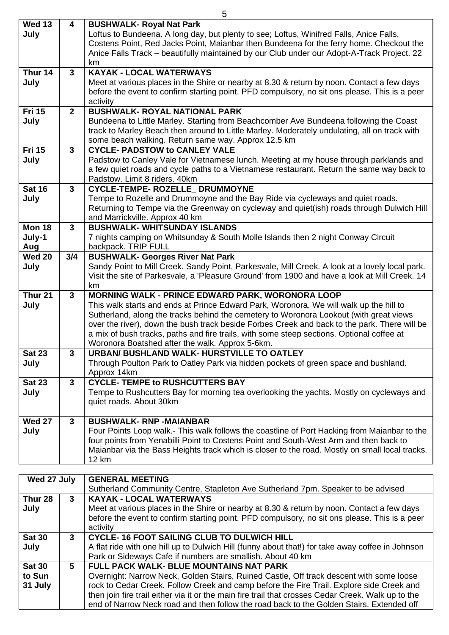|                         |                | 5                                                                                                                                                                                           |
|-------------------------|----------------|---------------------------------------------------------------------------------------------------------------------------------------------------------------------------------------------|
| <b>Wed 13</b><br>July   | 4              | <b>BUSHWALK- Royal Nat Park</b><br>Loftus to Bundeena. A long day, but plenty to see; Loftus, Winifred Falls, Anice Falls,                                                                  |
|                         |                | Costens Point, Red Jacks Point, Maianbar then Bundeena for the ferry home. Checkout the<br>Anice Falls Track - beautifully maintained by our Club under our Adopt-A-Track Project. 22       |
|                         |                | km                                                                                                                                                                                          |
| Thur 14                 | $3\phantom{a}$ | <b>KAYAK - LOCAL WATERWAYS</b>                                                                                                                                                              |
| July                    |                | Meet at various places in the Shire or nearby at 8.30 & return by noon. Contact a few days<br>before the event to confirm starting point. PFD compulsory, no sit ons please. This is a peer |
|                         |                | activity                                                                                                                                                                                    |
| <b>Fri 15</b>           | $\overline{2}$ | <b>BUSHWALK- ROYAL NATIONAL PARK</b>                                                                                                                                                        |
| July                    |                | Bundeena to Little Marley. Starting from Beachcomber Ave Bundeena following the Coast                                                                                                       |
|                         |                | track to Marley Beach then around to Little Marley. Moderately undulating, all on track with<br>some beach walking. Return same way. Approx 12.5 km                                         |
| <b>Fri 15</b>           | $\mathbf{3}$   | <b>CYCLE- PADSTOW to CANLEY VALE</b>                                                                                                                                                        |
| July                    |                | Padstow to Canley Vale for Vietnamese lunch. Meeting at my house through parklands and                                                                                                      |
|                         |                | a few quiet roads and cycle paths to a Vietnamese restaurant. Return the same way back to<br>Padstow. Limit 8 riders. 40km                                                                  |
| <b>Sat 16</b>           | $\mathbf{3}$   | CYCLE-TEMPE- ROZELLE_ DRUMMOYNE                                                                                                                                                             |
| July                    |                | Tempe to Rozelle and Drummoyne and the Bay Ride via cycleways and quiet roads.                                                                                                              |
|                         |                | Returning to Tempe via the Greenway on cycleway and quiet(ish) roads through Dulwich Hill                                                                                                   |
|                         |                | and Marrickville. Approx 40 km                                                                                                                                                              |
| <b>Mon 18</b><br>July-1 | $\mathbf{3}$   | <b>BUSHWALK- WHITSUNDAY ISLANDS</b><br>7 nights camping on Whitsunday & South Molle Islands then 2 night Conway Circuit                                                                     |
| Aug                     |                | backpack. TRIP FULL                                                                                                                                                                         |
| <b>Wed 20</b>           | 3/4            | <b>BUSHWALK- Georges River Nat Park</b>                                                                                                                                                     |
| July                    |                | Sandy Point to Mill Creek. Sandy Point, Parkesvale, Mill Creek. A look at a lovely local park.                                                                                              |
|                         |                | Visit the site of Parkesvale, a 'Pleasure Ground' from 1900 and have a look at Mill Creek. 14<br>km                                                                                         |
| Thur <sub>21</sub>      | $3\phantom{a}$ | <b>MORNING WALK - PRINCE EDWARD PARK, WORONORA LOOP</b>                                                                                                                                     |
| July                    |                | This walk starts and ends at Prince Edward Park, Woronora. We will walk up the hill to                                                                                                      |
|                         |                | Sutherland, along the tracks behind the cemetery to Woronora Lookout (with great views                                                                                                      |
|                         |                | over the river), down the bush track beside Forbes Creek and back to the park. There will be                                                                                                |
|                         |                | a mix of bush tracks, paths and fire trails, with some steep sections. Optional coffee at<br>Woronora Boatshed after the walk. Approx 5-6km.                                                |
| <b>Sat 23</b>           | 3              | URBAN/ BUSHLAND WALK- HURSTVILLE TO OATLEY                                                                                                                                                  |
| July                    |                | Through Poulton Park to Oatley Park via hidden pockets of green space and bushland.                                                                                                         |
|                         |                | Approx 14km                                                                                                                                                                                 |
| <b>Sat 23</b><br>July   | $\mathbf{3}$   | <b>CYCLE- TEMPE to RUSHCUTTERS BAY</b><br>Tempe to Rushcutters Bay for morning tea overlooking the yachts. Mostly on cycleways and                                                          |
|                         |                | quiet roads. About 30km                                                                                                                                                                     |
| <b>Wed 27</b>           | $\mathbf{3}$   | <b>BUSHWALK- RNP -MAIANBAR</b>                                                                                                                                                              |
| July                    |                | Four Points Loop walk.- This walk follows the coastline of Port Hacking from Maianbar to the                                                                                                |
|                         |                | four points from Yenabilli Point to Costens Point and South-West Arm and then back to                                                                                                       |
|                         |                | Maianbar via the Bass Heights track which is closer to the road. Mostly on small local tracks.                                                                                              |
|                         |                | 12 km                                                                                                                                                                                       |
|                         |                |                                                                                                                                                                                             |

| Wed 27 July   |   | <b>GENERAL MEETING</b>                                                                             |
|---------------|---|----------------------------------------------------------------------------------------------------|
|               |   | Sutherland Community Centre, Stapleton Ave Sutherland 7pm. Speaker to be advised                   |
| Thur 28       | 3 | <b>KAYAK - LOCAL WATERWAYS</b>                                                                     |
| July          |   | Meet at various places in the Shire or nearby at 8.30 & return by noon. Contact a few days         |
|               |   | before the event to confirm starting point. PFD compulsory, no sit ons please. This is a peer      |
|               |   | activity                                                                                           |
| <b>Sat 30</b> | 3 | <b>CYCLE-16 FOOT SAILING CLUB TO DULWICH HILL</b>                                                  |
| July          |   | A flat ride with one hill up to Dulwich Hill (funny about that!) for take away coffee in Johnson   |
|               |   | Park or Sideways Cafe if numbers are smallish. About 40 km                                         |
| <b>Sat 30</b> | 5 | <b>FULL PACK WALK- BLUE MOUNTAINS NAT PARK</b>                                                     |
| to Sun        |   | Overnight: Narrow Neck, Golden Stairs, Ruined Castle, Off track descent with some loose            |
| 31 July       |   | rock to Cedar Creek. Follow Creek and camp before the Fire Trail. Explore side Creek and           |
|               |   | then join fire trail either via it or the main fire trail that crosses Cedar Creek. Walk up to the |
|               |   | end of Narrow Neck road and then follow the road back to the Golden Stairs. Extended off           |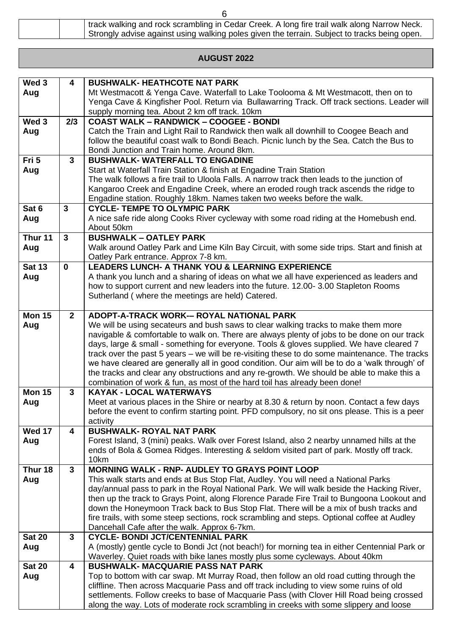| track walking and rock scrambling in Cedar Creek. A long fire trail walk along Narrow Neck.  |
|----------------------------------------------------------------------------------------------|
| Strongly advise against using walking poles given the terrain. Subject to tracks being open. |

# **AUGUST 2022**

| Wed <sub>3</sub> | $\overline{\mathbf{4}}$ | <b>BUSHWALK- HEATHCOTE NAT PARK</b>                                                             |
|------------------|-------------------------|-------------------------------------------------------------------------------------------------|
| Aug              |                         | Mt Westmacott & Yenga Cave. Waterfall to Lake Toolooma & Mt Westmacott, then on to              |
|                  |                         | Yenga Cave & Kingfisher Pool. Return via Bullawarring Track. Off track sections. Leader will    |
|                  |                         |                                                                                                 |
| Wed 3            | 2/3                     | supply morning tea. About 2 km off track. 10km<br><b>COAST WALK - RANDWICK - COOGEE - BONDI</b> |
|                  |                         | Catch the Train and Light Rail to Randwick then walk all downhill to Coogee Beach and           |
| Aug              |                         | follow the beautiful coast walk to Bondi Beach. Picnic lunch by the Sea. Catch the Bus to       |
|                  |                         | Bondi Junction and Train home. Around 8km.                                                      |
| Fri 5            | $\mathbf{3}$            | <b>BUSHWALK- WATERFALL TO ENGADINE</b>                                                          |
|                  |                         | Start at Waterfall Train Station & finish at Engadine Train Station                             |
| Aug              |                         | The walk follows a fire trail to Uloola Falls. A narrow track then leads to the junction of     |
|                  |                         | Kangaroo Creek and Engadine Creek, where an eroded rough track ascends the ridge to             |
|                  |                         | Engadine station. Roughly 18km. Names taken two weeks before the walk.                          |
| Sat 6            | 3                       | <b>CYCLE- TEMPE TO OLYMPIC PARK</b>                                                             |
| Aug              |                         | A nice safe ride along Cooks River cycleway with some road riding at the Homebush end.          |
|                  |                         | About 50km                                                                                      |
| Thur 11          | $\overline{3}$          | <b>BUSHWALK - OATLEY PARK</b>                                                                   |
|                  |                         | Walk around Oatley Park and Lime Kiln Bay Circuit, with some side trips. Start and finish at    |
| Aug              |                         | Oatley Park entrance. Approx 7-8 km.                                                            |
| <b>Sat 13</b>    | $\mathbf 0$             | <b>LEADERS LUNCH- A THANK YOU &amp; LEARNING EXPERIENCE</b>                                     |
| Aug              |                         | A thank you lunch and a sharing of ideas on what we all have experienced as leaders and         |
|                  |                         | how to support current and new leaders into the future. 12.00-3.00 Stapleton Rooms              |
|                  |                         | Sutherland (where the meetings are held) Catered.                                               |
|                  |                         |                                                                                                 |
| <b>Mon 15</b>    | $2^{\circ}$             | ADOPT-A-TRACK WORK-- ROYAL NATIONAL PARK                                                        |
| Aug              |                         | We will be using secateurs and bush saws to clear walking tracks to make them more              |
|                  |                         | navigable & comfortable to walk on. There are always plenty of jobs to be done on our track     |
|                  |                         | days, large & small - something for everyone. Tools & gloves supplied. We have cleared 7        |
|                  |                         | track over the past 5 years – we will be re-visiting these to do some maintenance. The tracks   |
|                  |                         | we have cleared are generally all in good condition. Our aim will be to do a 'walk through' of  |
|                  |                         | the tracks and clear any obstructions and any re-growth. We should be able to make this a       |
|                  |                         | combination of work & fun, as most of the hard toil has already been done!                      |
| <b>Mon 15</b>    | $\mathbf{3}$            | <b>KAYAK - LOCAL WATERWAYS</b>                                                                  |
| Aug              |                         | Meet at various places in the Shire or nearby at 8.30 & return by noon. Contact a few days      |
|                  |                         | before the event to confirm starting point. PFD compulsory, no sit ons please. This is a peer   |
|                  |                         | activity                                                                                        |
| <b>Wed 17</b>    | $\overline{\mathbf{4}}$ | <b>BUSHWALK- ROYAL NAT PARK</b>                                                                 |
| Aug              |                         | Forest Island, 3 (mini) peaks. Walk over Forest Island, also 2 nearby unnamed hills at the      |
|                  |                         | ends of Bola & Gomea Ridges. Interesting & seldom visited part of park. Mostly off track.       |
|                  |                         | 10km                                                                                            |
| Thur 18          | $\mathbf{3}$            | <b>MORNING WALK - RNP- AUDLEY TO GRAYS POINT LOOP</b>                                           |
| Aug              |                         | This walk starts and ends at Bus Stop Flat, Audley. You will need a National Parks              |
|                  |                         | day/annual pass to park in the Royal National Park. We will walk beside the Hacking River,      |
|                  |                         | then up the track to Grays Point, along Florence Parade Fire Trail to Bungoona Lookout and      |
|                  |                         | down the Honeymoon Track back to Bus Stop Flat. There will be a mix of bush tracks and          |
|                  |                         | fire trails, with some steep sections, rock scrambling and steps. Optional coffee at Audley     |
|                  |                         | Dancehall Cafe after the walk. Approx 6-7km.                                                    |
| <b>Sat 20</b>    | $\mathbf{3}$            | <b>CYCLE- BONDI JCT/CENTENNIAL PARK</b>                                                         |
| Aug              |                         | A (mostly) gentle cycle to Bondi Jct (not beach!) for morning tea in either Centennial Park or  |
|                  |                         | Waverley. Quiet roads with bike lanes mostly plus some cycleways. About 40km                    |
| <b>Sat 20</b>    | 4                       | <b>BUSHWALK- MACQUARIE PASS NAT PARK</b>                                                        |
| Aug              |                         | Top to bottom with car swap. Mt Murray Road, then follow an old road cutting through the        |
|                  |                         | cliffline. Then across Macquarie Pass and off track including to view some ruins of old         |
|                  |                         | settlements. Follow creeks to base of Macquarie Pass (with Clover Hill Road being crossed       |
|                  |                         | along the way. Lots of moderate rock scrambling in creeks with some slippery and loose          |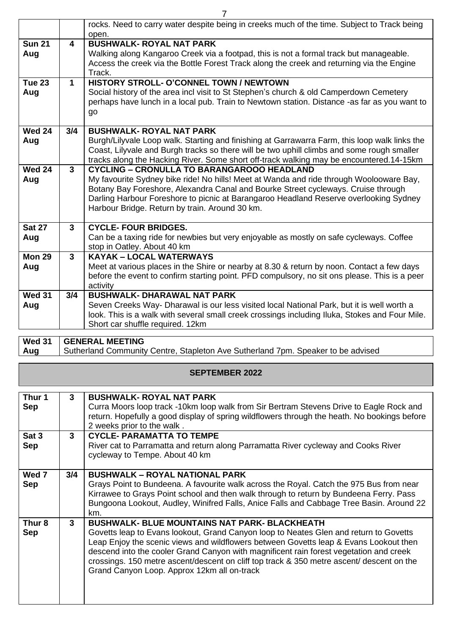|                      |                | rocks. Need to carry water despite being in creeks much of the time. Subject to Track being<br>open.                                                                                                                                                                                                                                                                         |
|----------------------|----------------|------------------------------------------------------------------------------------------------------------------------------------------------------------------------------------------------------------------------------------------------------------------------------------------------------------------------------------------------------------------------------|
| <b>Sun 21</b><br>Aug | 4              | <b>BUSHWALK- ROYAL NAT PARK</b><br>Walking along Kangaroo Creek via a footpad, this is not a formal track but manageable.<br>Access the creek via the Bottle Forest Track along the creek and returning via the Engine<br>Track.                                                                                                                                             |
| <b>Tue 23</b><br>Aug | $\mathbf 1$    | HISTORY STROLL- O'CONNEL TOWN / NEWTOWN<br>Social history of the area incl visit to St Stephen's church & old Camperdown Cemetery<br>perhaps have lunch in a local pub. Train to Newtown station. Distance -as far as you want to<br>go                                                                                                                                      |
| <b>Wed 24</b><br>Aug | 3/4            | <b>BUSHWALK- ROYAL NAT PARK</b><br>Burgh/Lilyvale Loop walk. Starting and finishing at Garrawarra Farm, this loop walk links the<br>Coast, Lilyvale and Burgh tracks so there will be two uphill climbs and some rough smaller<br>tracks along the Hacking River. Some short off-track walking may be encountered.14-15km                                                    |
| <b>Wed 24</b><br>Aug | 3 <sup>1</sup> | <b>CYCLING - CRONULLA TO BARANGAROOO HEADLAND</b><br>My favourite Sydney bike ride! No hills! Meet at Wanda and ride through Woolooware Bay,<br>Botany Bay Foreshore, Alexandra Canal and Bourke Street cycleways. Cruise through<br>Darling Harbour Foreshore to picnic at Barangaroo Headland Reserve overlooking Sydney<br>Harbour Bridge. Return by train. Around 30 km. |
| <b>Sat 27</b><br>Aug | $\mathbf{3}$   | <b>CYCLE-FOUR BRIDGES.</b><br>Can be a taxing ride for newbies but very enjoyable as mostly on safe cycleways. Coffee<br>stop in Oatley. About 40 km                                                                                                                                                                                                                         |
| <b>Mon 29</b><br>Aug | 3              | <b>KAYAK - LOCAL WATERWAYS</b><br>Meet at various places in the Shire or nearby at 8.30 & return by noon. Contact a few days<br>before the event to confirm starting point. PFD compulsory, no sit ons please. This is a peer<br>activity                                                                                                                                    |
| <b>Wed 31</b><br>Aug | 3/4            | <b>BUSHWALK- DHARAWAL NAT PARK</b><br>Seven Creeks Way- Dharawal is our less visited local National Park, but it is well worth a<br>look. This is a walk with several small creek crossings including Iluka, Stokes and Four Mile.<br>Short car shuffle required. 12km                                                                                                       |

**Wed 31 Aug GENERAL MEETING** Sutherland Community Centre, Stapleton Ave Sutherland 7pm. Speaker to be advised

# **SEPTEMBER 2022**

| Thur 1<br><b>Sep</b><br>Sat 3<br><b>Sep</b> | 3<br>3 | <b>BUSHWALK- ROYAL NAT PARK</b><br>Curra Moors loop track -10km loop walk from Sir Bertram Stevens Drive to Eagle Rock and<br>return. Hopefully a good display of spring wildflowers through the heath. No bookings before<br>2 weeks prior to the walk.<br><b>CYCLE- PARAMATTA TO TEMPE</b><br>River cat to Parramatta and return along Parramatta River cycleway and Cooks River                                                                                           |
|---------------------------------------------|--------|------------------------------------------------------------------------------------------------------------------------------------------------------------------------------------------------------------------------------------------------------------------------------------------------------------------------------------------------------------------------------------------------------------------------------------------------------------------------------|
|                                             |        | cycleway to Tempe. About 40 km                                                                                                                                                                                                                                                                                                                                                                                                                                               |
| Wed 7<br><b>Sep</b>                         | 3/4    | <b>BUSHWALK - ROYAL NATIONAL PARK</b><br>Grays Point to Bundeena. A favourite walk across the Royal. Catch the 975 Bus from near<br>Kirrawee to Grays Point school and then walk through to return by Bundeena Ferry. Pass<br>Bungoona Lookout, Audley, Winifred Falls, Anice Falls and Cabbage Tree Basin. Around 22<br>km.                                                                                                                                                 |
| Thur 8<br><b>Sep</b>                        | 3      | <b>BUSHWALK- BLUE MOUNTAINS NAT PARK- BLACKHEATH</b><br>Govetts leap to Evans lookout, Grand Canyon loop to Neates Glen and return to Govetts<br>Leap Enjoy the scenic views and wildflowers between Govetts leap & Evans Lookout then<br>descend into the cooler Grand Canyon with magnificent rain forest vegetation and creek<br>crossings. 150 metre ascent/descent on cliff top track & 350 metre ascent/ descent on the<br>Grand Canyon Loop. Approx 12km all on-track |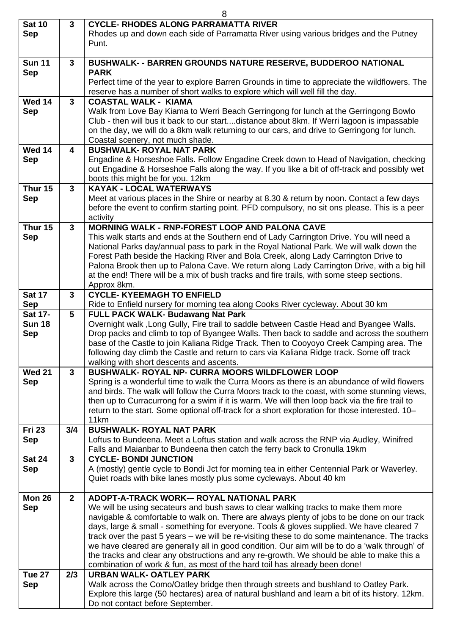| 8                           |              |                                                                                                                                                                                             |  |
|-----------------------------|--------------|---------------------------------------------------------------------------------------------------------------------------------------------------------------------------------------------|--|
| <b>Sat 10</b><br><b>Sep</b> | $\mathbf{3}$ | <b>CYCLE- RHODES ALONG PARRAMATTA RIVER</b><br>Rhodes up and down each side of Parramatta River using various bridges and the Putney                                                        |  |
|                             |              | Punt.                                                                                                                                                                                       |  |
| <b>Sun 11</b>               | 3            | <b>BUSHWALK- - BARREN GROUNDS NATURE RESERVE, BUDDEROO NATIONAL</b><br><b>PARK</b>                                                                                                          |  |
| <b>Sep</b>                  |              | Perfect time of the year to explore Barren Grounds in time to appreciate the wildflowers. The                                                                                               |  |
|                             |              | reserve has a number of short walks to explore which will well fill the day.                                                                                                                |  |
| <b>Wed 14</b><br><b>Sep</b> | $\mathbf{3}$ | <b>COASTAL WALK - KIAMA</b><br>Walk from Love Bay Kiama to Werri Beach Gerringong for lunch at the Gerringong Bowlo                                                                         |  |
|                             |              | Club - then will bus it back to our startdistance about 8km. If Werri lagoon is impassable                                                                                                  |  |
|                             |              | on the day, we will do a 8km walk returning to our cars, and drive to Gerringong for lunch.<br>Coastal scenery, not much shade.                                                             |  |
| <b>Wed 14</b>               | 4            | <b>BUSHWALK- ROYAL NAT PARK</b>                                                                                                                                                             |  |
| <b>Sep</b>                  |              | Engadine & Horseshoe Falls. Follow Engadine Creek down to Head of Navigation, checking                                                                                                      |  |
|                             |              | out Engadine & Horseshoe Falls along the way. If you like a bit of off-track and possibly wet<br>boots this might be for you. 12km                                                          |  |
| Thur 15                     | $\mathbf{3}$ | <b>KAYAK - LOCAL WATERWAYS</b>                                                                                                                                                              |  |
| <b>Sep</b>                  |              | Meet at various places in the Shire or nearby at 8.30 & return by noon. Contact a few days                                                                                                  |  |
|                             |              | before the event to confirm starting point. PFD compulsory, no sit ons please. This is a peer<br>activity                                                                                   |  |
| Thur 15                     | $\mathbf{3}$ | <b>MORNING WALK - RNP-FOREST LOOP AND PALONA CAVE</b>                                                                                                                                       |  |
| <b>Sep</b>                  |              | This walk starts and ends at the Southern end of Lady Carrington Drive. You will need a<br>National Parks day/annual pass to park in the Royal National Park. We will walk down the         |  |
|                             |              | Forest Path beside the Hacking River and Bola Creek, along Lady Carrington Drive to                                                                                                         |  |
|                             |              | Palona Brook then up to Palona Cave. We return along Lady Carrington Drive, with a big hill                                                                                                 |  |
|                             |              | at the end! There will be a mix of bush tracks and fire trails, with some steep sections.<br>Approx 8km.                                                                                    |  |
| <b>Sat 17</b>               | 3            | <b>CYCLE- KYEEMAGH TO ENFIELD</b>                                                                                                                                                           |  |
| <b>Sep</b>                  | 5            | Ride to Enfield nursery for morning tea along Cooks River cycleway. About 30 km<br>FULL PACK WALK- Budawang Nat Park                                                                        |  |
| Sat 17-<br><b>Sun 18</b>    |              | Overnight walk, Long Gully, Fire trail to saddle between Castle Head and Byangee Walls.                                                                                                     |  |
| <b>Sep</b>                  |              | Drop packs and climb to top of Byangee Walls. Then back to saddle and across the southern                                                                                                   |  |
|                             |              | base of the Castle to join Kaliana Ridge Track. Then to Cooyoyo Creek Camping area. The<br>following day climb the Castle and return to cars via Kaliana Ridge track. Some off track        |  |
|                             |              | walking with short descents and ascents.                                                                                                                                                    |  |
| <b>Wed 21</b><br><b>Sep</b> | $\mathbf{3}$ | <b>BUSHWALK- ROYAL NP- CURRA MOORS WILDFLOWER LOOP</b><br>Spring is a wonderful time to walk the Curra Moors as there is an abundance of wild flowers                                       |  |
|                             |              | and birds. The walk will follow the Curra Moors track to the coast, with some stunning views,                                                                                               |  |
|                             |              | then up to Curracurrong for a swim if it is warm. We will then loop back via the fire trail to                                                                                              |  |
|                             |              | return to the start. Some optional off-track for a short exploration for those interested. 10–<br>11km                                                                                      |  |
| <b>Fri 23</b>               | 3/4          | <b>BUSHWALK- ROYAL NAT PARK</b>                                                                                                                                                             |  |
| <b>Sep</b>                  |              | Loftus to Bundeena. Meet a Loftus station and walk across the RNP via Audley, Winifred<br>Falls and Maianbar to Bundeena then catch the ferry back to Cronulla 19km                         |  |
| <b>Sat 24</b>               | $\mathbf{3}$ | <b>CYCLE- BONDI JUNCTION</b>                                                                                                                                                                |  |
| <b>Sep</b>                  |              | A (mostly) gentle cycle to Bondi Jct for morning tea in either Centennial Park or Waverley.                                                                                                 |  |
|                             |              | Quiet roads with bike lanes mostly plus some cycleways. About 40 km                                                                                                                         |  |
| Mon 26                      | $\mathbf{2}$ | ADOPT-A-TRACK WORK-- ROYAL NATIONAL PARK                                                                                                                                                    |  |
| <b>Sep</b>                  |              | We will be using secateurs and bush saws to clear walking tracks to make them more<br>navigable & comfortable to walk on. There are always plenty of jobs to be done on our track           |  |
|                             |              | days, large & small - something for everyone. Tools & gloves supplied. We have cleared 7                                                                                                    |  |
|                             |              | track over the past 5 years – we will be re-visiting these to do some maintenance. The tracks                                                                                               |  |
|                             |              | we have cleared are generally all in good condition. Our aim will be to do a 'walk through' of<br>the tracks and clear any obstructions and any re-growth. We should be able to make this a |  |
|                             |              | combination of work & fun, as most of the hard toil has already been done!                                                                                                                  |  |
| Tue 27<br>Sep               | 2/3          | <b>URBAN WALK- OATLEY PARK</b><br>Walk across the Como/Oatley bridge then through streets and bushland to Oatley Park.                                                                      |  |
|                             |              | Explore this large (50 hectares) area of natural bushland and learn a bit of its history. 12km.                                                                                             |  |
|                             |              | Do not contact before September.                                                                                                                                                            |  |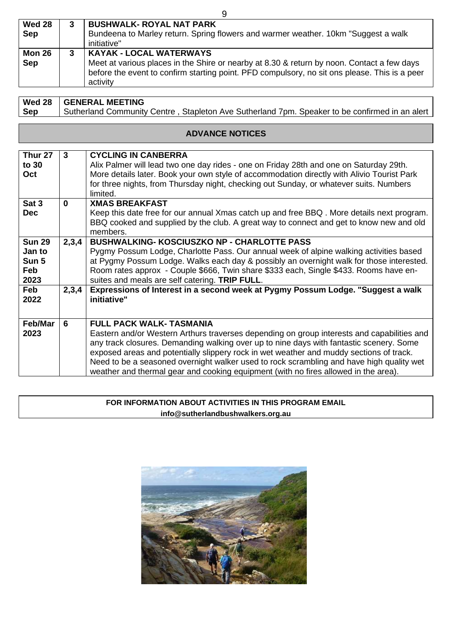| <b>Wed 28</b><br>Sep | <b>BUSHWALK- ROYAL NAT PARK</b><br>Bundeena to Marley return. Spring flowers and warmer weather. 10km "Suggest a walk<br>initiative"                                                                                                      |
|----------------------|-------------------------------------------------------------------------------------------------------------------------------------------------------------------------------------------------------------------------------------------|
| <b>Mon 26</b><br>Sep | <b>KAYAK - LOCAL WATERWAYS</b><br>Meet at various places in the Shire or nearby at 8.30 & return by noon. Contact a few days<br>before the event to confirm starting point. PFD compulsory, no sit ons please. This is a peer<br>activity |

**Wed 28** 

**GENERAL MEETING**

| <b>Sep</b>                                      | Sutherland Community Centre, Stapleton Ave Sutherland 7pm. Speaker to be confirmed in an alert |                                                                                                                                                                                                                                                                                                                                                                                                                                                                                                        |  |
|-------------------------------------------------|------------------------------------------------------------------------------------------------|--------------------------------------------------------------------------------------------------------------------------------------------------------------------------------------------------------------------------------------------------------------------------------------------------------------------------------------------------------------------------------------------------------------------------------------------------------------------------------------------------------|--|
|                                                 |                                                                                                |                                                                                                                                                                                                                                                                                                                                                                                                                                                                                                        |  |
|                                                 |                                                                                                | <b>ADVANCE NOTICES</b>                                                                                                                                                                                                                                                                                                                                                                                                                                                                                 |  |
|                                                 |                                                                                                |                                                                                                                                                                                                                                                                                                                                                                                                                                                                                                        |  |
| Thur <sub>27</sub><br>to 30<br>Oct              | $\mathbf{3}$                                                                                   | <b>CYCLING IN CANBERRA</b><br>Alix Palmer will lead two one day rides - one on Friday 28th and one on Saturday 29th.<br>More details later. Book your own style of accommodation directly with Alivio Tourist Park<br>for three nights, from Thursday night, checking out Sunday, or whatever suits. Numbers<br>limited.                                                                                                                                                                               |  |
| Sat 3<br><b>Dec</b>                             | $\mathbf{0}$                                                                                   | <b>XMAS BREAKFAST</b><br>Keep this date free for our annual Xmas catch up and free BBQ. More details next program.<br>BBQ cooked and supplied by the club. A great way to connect and get to know new and old<br>members.                                                                                                                                                                                                                                                                              |  |
| <b>Sun 29</b><br>Jan to<br>Sun 5<br>Feb<br>2023 | 2,3,4                                                                                          | <b>BUSHWALKING- KOSCIUSZKO NP - CHARLOTTE PASS</b><br>Pygmy Possum Lodge, Charlotte Pass. Our annual week of alpine walking activities based<br>at Pygmy Possum Lodge. Walks each day & possibly an overnight walk for those interested.<br>Room rates approx - Couple \$666, Twin share \$333 each, Single \$433. Rooms have en-<br>suites and meals are self catering. TRIP FULL.                                                                                                                    |  |
| Feb<br>2022                                     | 2,3,4                                                                                          | Expressions of Interest in a second week at Pygmy Possum Lodge. "Suggest a walk<br>initiative"                                                                                                                                                                                                                                                                                                                                                                                                         |  |
| Feb/Mar<br>2023                                 | 6                                                                                              | <b>FULL PACK WALK- TASMANIA</b><br>Eastern and/or Western Arthurs traverses depending on group interests and capabilities and<br>any track closures. Demanding walking over up to nine days with fantastic scenery. Some<br>exposed areas and potentially slippery rock in wet weather and muddy sections of track.<br>Need to be a seasoned overnight walker used to rock scrambling and have high quality wet<br>weather and thermal gear and cooking equipment (with no fires allowed in the area). |  |

# **FOR INFORMATION ABOUT ACTIVITIES IN THIS PROGRAM EMAIL info@sutherlandbushwalkers.org.au**



9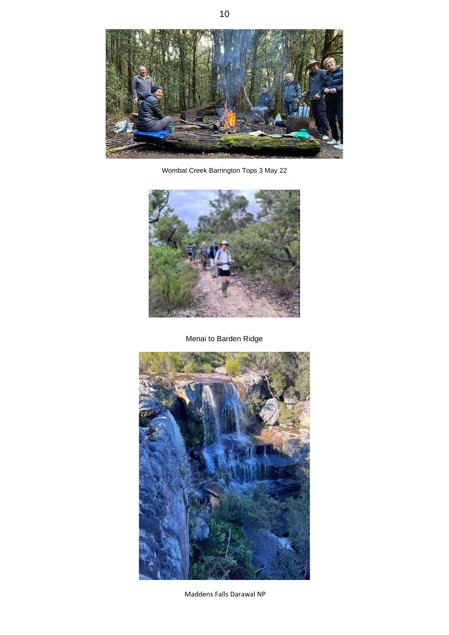

Wombat Creek Barrington Tops 3 May 22



Menai to Barden Ridge



Maddens Falls Darawal NP